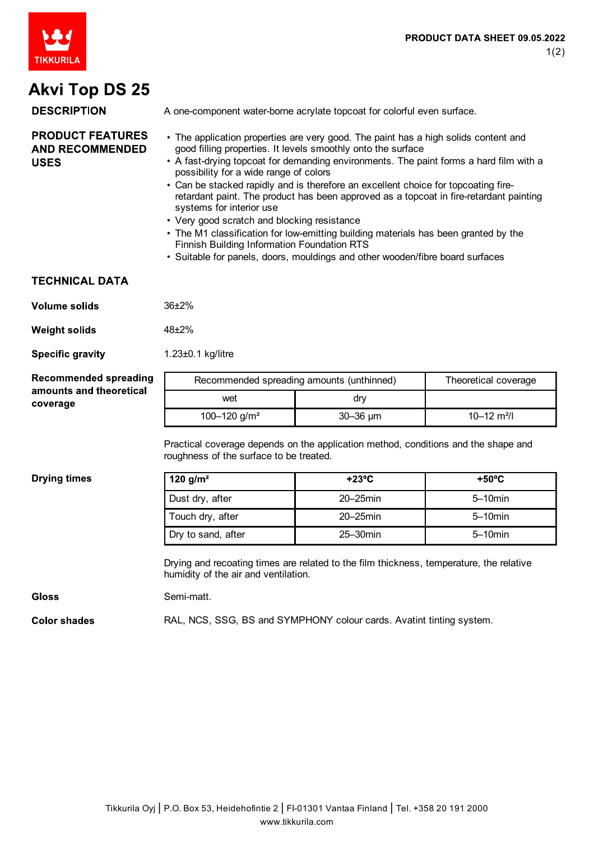

## **Akvi Top DS 25**

**DESCRIPTION** 

A one-component water-borne acrylate topcoat for colorful even surface.

#### **PRODUCT FEATURES AND RECOMMENDED USES**

- The application properties are very good. The paint has a high solids content and good filling properties. It levels smoothly onto the surface
- A fast-drying topcoat for demanding environments. The paint forms a hard film with a possibility for a wide range of colors
- Can be stacked rapidly and is therefore an excellent choice for topcoating fireretardant paint. The product has been approved as a topcoat in fire-retardant painting systems for interior use
- Very good scratch and blocking resistance
- The M1 classification for low-emitting building materials has been granted by the Finnish Building Information Foundation RTS
- Suitable for panels, doors, mouldings and other wooden/fibre board surfaces

### **TECHNICAL DATA**

| Volume solids | $36+2%$ |
|---------------|---------|
|---------------|---------|

| <b>Weight solids</b> | $48 + 2%$ |
|----------------------|-----------|
|----------------------|-----------|

**Specific gravity** 1.23±0.1 kg/litre

| <b>Recommended spreading</b>        | Recommended spreading amounts (unthinned) |                   | Theoretical coverage        |
|-------------------------------------|-------------------------------------------|-------------------|-----------------------------|
| amounts and theoretical<br>coverage | wet                                       | drv               |                             |
|                                     | 100-120 g/m <sup>2</sup>                  | $30 - 36$ $\mu$ m | $10 - 12$ m <sup>2</sup> /l |

Practical coverage depends on the application method, conditions and the shape and roughness of the surface to be treated.

#### **Drying times**

| 120 g/m <sup>2</sup> | $+23^{\circ}$ C | $+50^{\circ}$ C |
|----------------------|-----------------|-----------------|
| Dust dry, after      | $20 - 25$ min   | $5 - 10$ min    |
| Touch dry, after     | $20 - 25$ min   | $5 - 10$ min    |
| Dry to sand, after   | $25 - 30$ min   | $5 - 10$ min    |

Drying and recoating times are related to the film thickness, temperature, the relative humidity of the air and ventilation.

#### **Gloss** Semi-matt.

Color shades RAL, NCS, SSG, BS and SYMPHONY colour cards. Avatint tinting system.